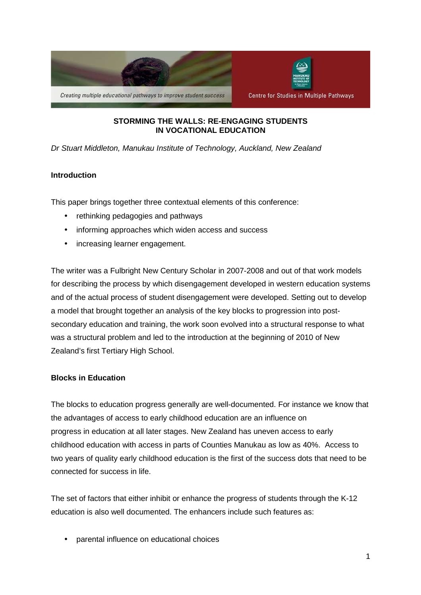

### **STORMING THE WALLS: RE-ENGAGING STUDENTS IN VOCATIONAL EDUCATION**

Dr Stuart Middleton, Manukau Institute of Technology, Auckland, New Zealand

# **Introduction**

This paper brings together three contextual elements of this conference:

- rethinking pedagogies and pathways
- informing approaches which widen access and success
- increasing learner engagement.

The writer was a Fulbright New Century Scholar in 2007-2008 and out of that work models for describing the process by which disengagement developed in western education systems and of the actual process of student disengagement were developed. Setting out to develop a model that brought together an analysis of the key blocks to progression into postsecondary education and training, the work soon evolved into a structural response to what was a structural problem and led to the introduction at the beginning of 2010 of New Zealand's first Tertiary High School.

### **Blocks in Education**

The blocks to education progress generally are well-documented. For instance we know that the advantages of access to early childhood education are an influence on progress in education at all later stages. New Zealand has uneven access to early childhood education with access in parts of Counties Manukau as low as 40%. Access to two years of quality early childhood education is the first of the success dots that need to be connected for success in life.

The set of factors that either inhibit or enhance the progress of students through the K-12 education is also well documented. The enhancers include such features as:

• parental influence on educational choices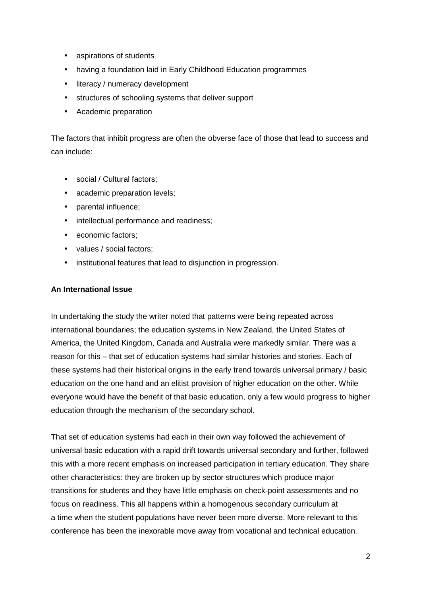- aspirations of students
- having a foundation laid in Early Childhood Education programmes
- literacy / numeracy development
- structures of schooling systems that deliver support
- Academic preparation

The factors that inhibit progress are often the obverse face of those that lead to success and can include:

- social / Cultural factors;
- academic preparation levels;
- parental influence;
- intellectual performance and readiness;
- economic factors:
- values / social factors;
- institutional features that lead to disjunction in progression.

### **An International Issue**

In undertaking the study the writer noted that patterns were being repeated across international boundaries; the education systems in New Zealand, the United States of America, the United Kingdom, Canada and Australia were markedly similar. There was a reason for this – that set of education systems had similar histories and stories. Each of these systems had their historical origins in the early trend towards universal primary / basic education on the one hand and an elitist provision of higher education on the other. While everyone would have the benefit of that basic education, only a few would progress to higher education through the mechanism of the secondary school.

That set of education systems had each in their own way followed the achievement of universal basic education with a rapid drift towards universal secondary and further, followed this with a more recent emphasis on increased participation in tertiary education. They share other characteristics: they are broken up by sector structures which produce major transitions for students and they have little emphasis on check-point assessments and no focus on readiness. This all happens within a homogenous secondary curriculum at a time when the student populations have never been more diverse. More relevant to this conference has been the inexorable move away from vocational and technical education.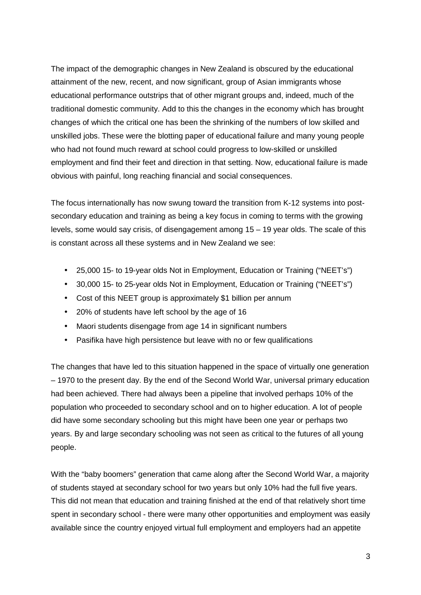The impact of the demographic changes in New Zealand is obscured by the educational attainment of the new, recent, and now significant, group of Asian immigrants whose educational performance outstrips that of other migrant groups and, indeed, much of the traditional domestic community. Add to this the changes in the economy which has brought changes of which the critical one has been the shrinking of the numbers of low skilled and unskilled jobs. These were the blotting paper of educational failure and many young people who had not found much reward at school could progress to low-skilled or unskilled employment and find their feet and direction in that setting. Now, educational failure is made obvious with painful, long reaching financial and social consequences.

The focus internationally has now swung toward the transition from K-12 systems into postsecondary education and training as being a key focus in coming to terms with the growing levels, some would say crisis, of disengagement among 15 – 19 year olds. The scale of this is constant across all these systems and in New Zealand we see:

- 25,000 15- to 19-year olds Not in Employment, Education or Training ("NEET's")
- 30,000 15- to 25-year olds Not in Employment, Education or Training ("NEET's")
- Cost of this NEET group is approximately \$1 billion per annum
- 20% of students have left school by the age of 16
- Maori students disengage from age 14 in significant numbers
- Pasifika have high persistence but leave with no or few qualifications

The changes that have led to this situation happened in the space of virtually one generation – 1970 to the present day. By the end of the Second World War, universal primary education had been achieved. There had always been a pipeline that involved perhaps 10% of the population who proceeded to secondary school and on to higher education. A lot of people did have some secondary schooling but this might have been one year or perhaps two years. By and large secondary schooling was not seen as critical to the futures of all young people.

With the "baby boomers" generation that came along after the Second World War, a majority of students stayed at secondary school for two years but only 10% had the full five years. This did not mean that education and training finished at the end of that relatively short time spent in secondary school - there were many other opportunities and employment was easily available since the country enjoyed virtual full employment and employers had an appetite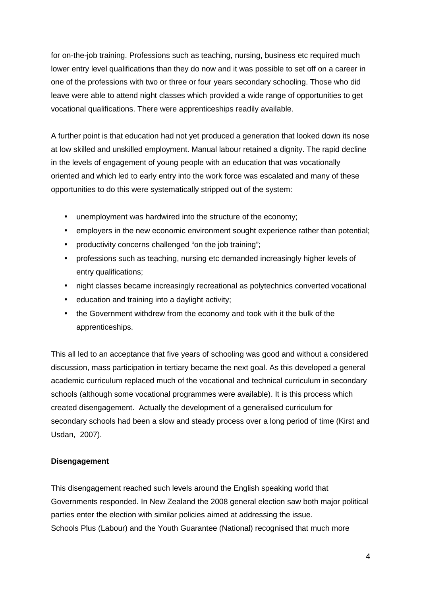for on-the-job training. Professions such as teaching, nursing, business etc required much lower entry level qualifications than they do now and it was possible to set off on a career in one of the professions with two or three or four years secondary schooling. Those who did leave were able to attend night classes which provided a wide range of opportunities to get vocational qualifications. There were apprenticeships readily available.

A further point is that education had not yet produced a generation that looked down its nose at low skilled and unskilled employment. Manual labour retained a dignity. The rapid decline in the levels of engagement of young people with an education that was vocationally oriented and which led to early entry into the work force was escalated and many of these opportunities to do this were systematically stripped out of the system:

- unemployment was hardwired into the structure of the economy;
- employers in the new economic environment sought experience rather than potential;
- productivity concerns challenged "on the job training";
- professions such as teaching, nursing etc demanded increasingly higher levels of entry qualifications;
- night classes became increasingly recreational as polytechnics converted vocational
- education and training into a daylight activity;
- the Government withdrew from the economy and took with it the bulk of the apprenticeships.

This all led to an acceptance that five years of schooling was good and without a considered discussion, mass participation in tertiary became the next goal. As this developed a general academic curriculum replaced much of the vocational and technical curriculum in secondary schools (although some vocational programmes were available). It is this process which created disengagement. Actually the development of a generalised curriculum for secondary schools had been a slow and steady process over a long period of time (Kirst and Usdan, 2007).

### **Disengagement**

This disengagement reached such levels around the English speaking world that Governments responded. In New Zealand the 2008 general election saw both major political parties enter the election with similar policies aimed at addressing the issue. Schools Plus (Labour) and the Youth Guarantee (National) recognised that much more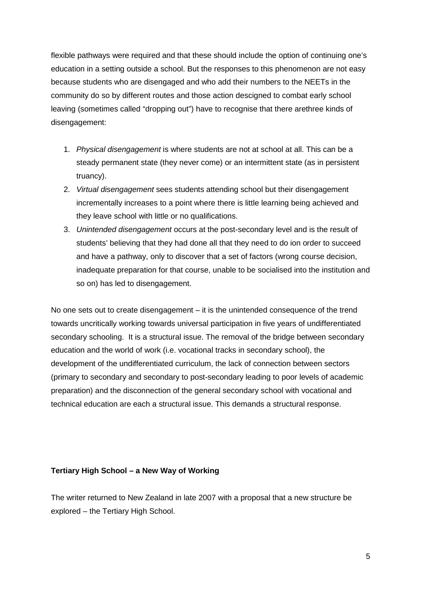flexible pathways were required and that these should include the option of continuing one's education in a setting outside a school. But the responses to this phenomenon are not easy because students who are disengaged and who add their numbers to the NEETs in the community do so by different routes and those action descigned to combat early school leaving (sometimes called "dropping out") have to recognise that there arethree kinds of disengagement:

- 1. Physical disengagement is where students are not at school at all. This can be a steady permanent state (they never come) or an intermittent state (as in persistent truancy).
- 2. Virtual disengagement sees students attending school but their disengagement incrementally increases to a point where there is little learning being achieved and they leave school with little or no qualifications.
- 3. Unintended disengagement occurs at the post-secondary level and is the result of students' believing that they had done all that they need to do ion order to succeed and have a pathway, only to discover that a set of factors (wrong course decision, inadequate preparation for that course, unable to be socialised into the institution and so on) has led to disengagement.

No one sets out to create disengagement – it is the unintended consequence of the trend towards uncritically working towards universal participation in five years of undifferentiated secondary schooling. It is a structural issue. The removal of the bridge between secondary education and the world of work (i.e. vocational tracks in secondary school), the development of the undifferentiated curriculum, the lack of connection between sectors (primary to secondary and secondary to post-secondary leading to poor levels of academic preparation) and the disconnection of the general secondary school with vocational and technical education are each a structural issue. This demands a structural response.

### **Tertiary High School – a New Way of Working**

The writer returned to New Zealand in late 2007 with a proposal that a new structure be explored – the Tertiary High School.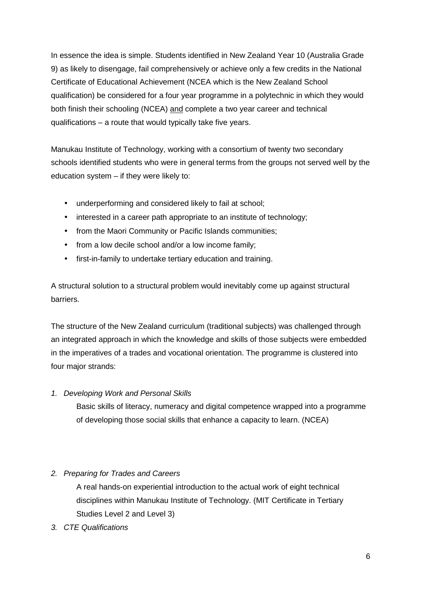In essence the idea is simple. Students identified in New Zealand Year 10 (Australia Grade 9) as likely to disengage, fail comprehensively or achieve only a few credits in the National Certificate of Educational Achievement (NCEA which is the New Zealand School qualification) be considered for a four year programme in a polytechnic in which they would both finish their schooling (NCEA) and complete a two year career and technical qualifications – a route that would typically take five years.

Manukau Institute of Technology, working with a consortium of twenty two secondary schools identified students who were in general terms from the groups not served well by the education system – if they were likely to:

- underperforming and considered likely to fail at school;
- interested in a career path appropriate to an institute of technology;
- from the Maori Community or Pacific Islands communities;
- from a low decile school and/or a low income family;
- first-in-family to undertake tertiary education and training.

A structural solution to a structural problem would inevitably come up against structural barriers.

The structure of the New Zealand curriculum (traditional subjects) was challenged through an integrated approach in which the knowledge and skills of those subjects were embedded in the imperatives of a trades and vocational orientation. The programme is clustered into four major strands:

1. Developing Work and Personal Skills

Basic skills of literacy, numeracy and digital competence wrapped into a programme of developing those social skills that enhance a capacity to learn. (NCEA)

# 2. Preparing for Trades and Careers

A real hands-on experiential introduction to the actual work of eight technical disciplines within Manukau Institute of Technology. (MIT Certificate in Tertiary Studies Level 2 and Level 3)

3. CTE Qualifications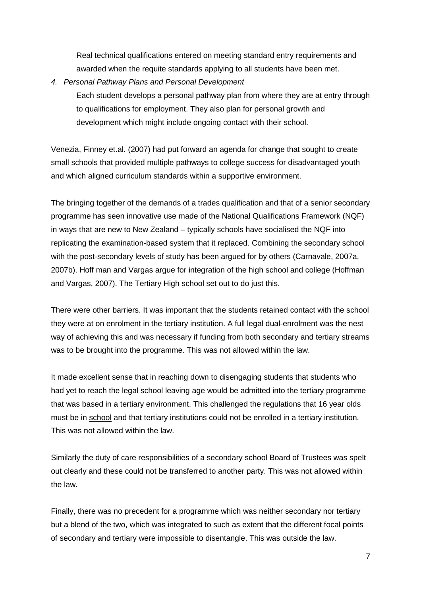Real technical qualifications entered on meeting standard entry requirements and awarded when the requite standards applying to all students have been met.

4. Personal Pathway Plans and Personal Development Each student develops a personal pathway plan from where they are at entry through to qualifications for employment. They also plan for personal growth and development which might include ongoing contact with their school.

Venezia, Finney et.al. (2007) had put forward an agenda for change that sought to create small schools that provided multiple pathways to college success for disadvantaged youth and which aligned curriculum standards within a supportive environment.

The bringing together of the demands of a trades qualification and that of a senior secondary programme has seen innovative use made of the National Qualifications Framework (NQF) in ways that are new to New Zealand – typically schools have socialised the NQF into replicating the examination-based system that it replaced. Combining the secondary school with the post-secondary levels of study has been argued for by others (Carnavale, 2007a, 2007b). Hoff man and Vargas argue for integration of the high school and college (Hoffman and Vargas, 2007). The Tertiary High school set out to do just this.

There were other barriers. It was important that the students retained contact with the school they were at on enrolment in the tertiary institution. A full legal dual-enrolment was the nest way of achieving this and was necessary if funding from both secondary and tertiary streams was to be brought into the programme. This was not allowed within the law.

It made excellent sense that in reaching down to disengaging students that students who had yet to reach the legal school leaving age would be admitted into the tertiary programme that was based in a tertiary environment. This challenged the regulations that 16 year olds must be in school and that tertiary institutions could not be enrolled in a tertiary institution. This was not allowed within the law.

Similarly the duty of care responsibilities of a secondary school Board of Trustees was spelt out clearly and these could not be transferred to another party. This was not allowed within the law.

Finally, there was no precedent for a programme which was neither secondary nor tertiary but a blend of the two, which was integrated to such as extent that the different focal points of secondary and tertiary were impossible to disentangle. This was outside the law.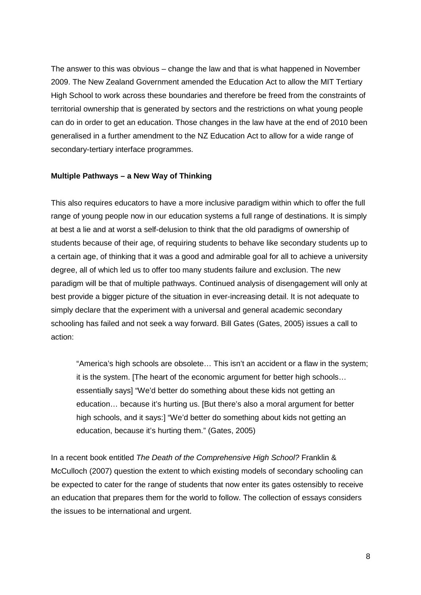The answer to this was obvious – change the law and that is what happened in November 2009. The New Zealand Government amended the Education Act to allow the MIT Tertiary High School to work across these boundaries and therefore be freed from the constraints of territorial ownership that is generated by sectors and the restrictions on what young people can do in order to get an education. Those changes in the law have at the end of 2010 been generalised in a further amendment to the NZ Education Act to allow for a wide range of secondary-tertiary interface programmes.

#### **Multiple Pathways – a New Way of Thinking**

This also requires educators to have a more inclusive paradigm within which to offer the full range of young people now in our education systems a full range of destinations. It is simply at best a lie and at worst a self-delusion to think that the old paradigms of ownership of students because of their age, of requiring students to behave like secondary students up to a certain age, of thinking that it was a good and admirable goal for all to achieve a university degree, all of which led us to offer too many students failure and exclusion. The new paradigm will be that of multiple pathways. Continued analysis of disengagement will only at best provide a bigger picture of the situation in ever-increasing detail. It is not adequate to simply declare that the experiment with a universal and general academic secondary schooling has failed and not seek a way forward. Bill Gates (Gates, 2005) issues a call to action:

"America's high schools are obsolete… This isn't an accident or a flaw in the system; it is the system. [The heart of the economic argument for better high schools… essentially says] "We'd better do something about these kids not getting an education… because it's hurting us. [But there's also a moral argument for better high schools, and it says:] "We'd better do something about kids not getting an education, because it's hurting them." (Gates, 2005)

In a recent book entitled The Death of the Comprehensive High School? Franklin & McCulloch (2007) question the extent to which existing models of secondary schooling can be expected to cater for the range of students that now enter its gates ostensibly to receive an education that prepares them for the world to follow. The collection of essays considers the issues to be international and urgent.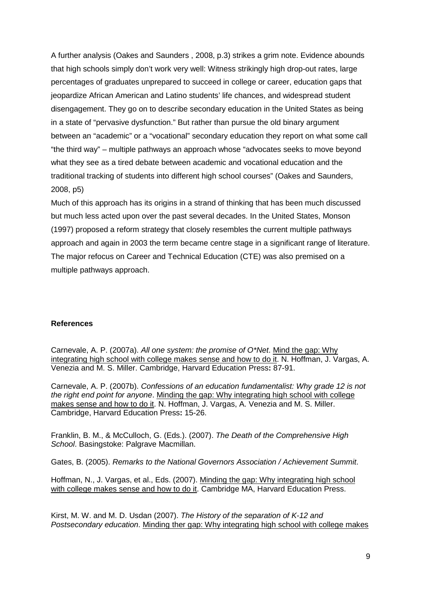A further analysis (Oakes and Saunders , 2008, p.3) strikes a grim note. Evidence abounds that high schools simply don't work very well: Witness strikingly high drop-out rates, large percentages of graduates unprepared to succeed in college or career, education gaps that jeopardize African American and Latino students' life chances, and widespread student disengagement. They go on to describe secondary education in the United States as being in a state of "pervasive dysfunction." But rather than pursue the old binary argument between an "academic" or a "vocational" secondary education they report on what some call "the third way" – multiple pathways an approach whose "advocates seeks to move beyond what they see as a tired debate between academic and vocational education and the traditional tracking of students into different high school courses" (Oakes and Saunders, 2008, p5)

Much of this approach has its origins in a strand of thinking that has been much discussed but much less acted upon over the past several decades. In the United States, Monson (1997) proposed a reform strategy that closely resembles the current multiple pathways approach and again in 2003 the term became centre stage in a significant range of literature. The major refocus on Career and Technical Education (CTE) was also premised on a multiple pathways approach.

### **References**

Carnevale, A. P. (2007a). All one system: the promise of O\*Net. Mind the gap: Why integrating high school with college makes sense and how to do it. N. Hoffman, J. Vargas, A. Venezia and M. S. Miller. Cambridge, Harvard Education Press**:** 87-91.

Carnevale, A. P. (2007b). Confessions of an education fundamentalist: Why grade 12 is not the right end point for anyone. Minding the gap: Why integrating high school with college makes sense and how to do it. N. Hoffman, J. Vargas, A. Venezia and M. S. Miller. Cambridge, Harvard Education Press**:** 15-26.

Franklin, B. M., & McCulloch, G. (Eds.). (2007). The Death of the Comprehensive High School. Basingstoke: Palgrave Macmillan.

Gates, B. (2005). Remarks to the National Governors Association / Achievement Summit.

Hoffman, N., J. Vargas, et al., Eds. (2007). Minding the gap: Why integrating high school with college makes sense and how to do it. Cambridge MA, Harvard Education Press.

Kirst, M. W. and M. D. Usdan (2007). The History of the separation of K-12 and Postsecondary education. Minding ther gap: Why integrating high school with college makes